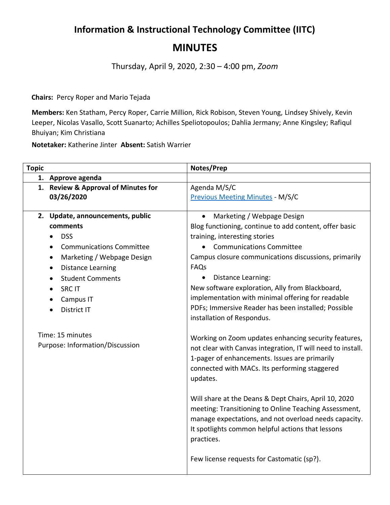## **Information & Instructional Technology Committee (IITC) MINUTES**

Thursday, April 9, 2020, 2:30 – 4:00 pm, *Zoom*

**Chairs:** Percy Roper and Mario Tejada

**Members:** Ken Statham, Percy Roper, Carrie Million, Rick Robison, Steven Young, Lindsey Shively, Kevin Leeper, Nicolas Vasallo, Scott Suanarto; Achilles Speliotopoulos; Dahlia Jermany; Anne Kingsley; Rafiqul Bhuiyan; Kim Christiana

**Notetaker:** Katherine Jinter **Absent:** Satish Warrier

| <b>Topic</b> |                                                     | Notes/Prep                                                                                                                                                                                                                                 |
|--------------|-----------------------------------------------------|--------------------------------------------------------------------------------------------------------------------------------------------------------------------------------------------------------------------------------------------|
|              | 1. Approve agenda                                   |                                                                                                                                                                                                                                            |
|              | 1. Review & Approval of Minutes for                 | Agenda M/S/C                                                                                                                                                                                                                               |
|              | 03/26/2020                                          | <b>Previous Meeting Minutes - M/S/C</b>                                                                                                                                                                                                    |
|              |                                                     |                                                                                                                                                                                                                                            |
|              | 2. Update, announcements, public                    | Marketing / Webpage Design<br>$\bullet$                                                                                                                                                                                                    |
|              | comments                                            | Blog functioning, continue to add content, offer basic                                                                                                                                                                                     |
|              | <b>DSS</b>                                          | training, interesting stories                                                                                                                                                                                                              |
|              | <b>Communications Committee</b><br>$\bullet$        | • Communications Committee                                                                                                                                                                                                                 |
|              | Marketing / Webpage Design<br>٠                     | Campus closure communications discussions, primarily                                                                                                                                                                                       |
|              | <b>Distance Learning</b><br>$\bullet$               | FAQs                                                                                                                                                                                                                                       |
|              | <b>Student Comments</b>                             | Distance Learning:                                                                                                                                                                                                                         |
|              | <b>SRC IT</b>                                       | New software exploration, Ally from Blackboard,                                                                                                                                                                                            |
|              | Campus IT                                           | implementation with minimal offering for readable                                                                                                                                                                                          |
|              | District IT                                         | PDFs; Immersive Reader has been installed; Possible                                                                                                                                                                                        |
|              |                                                     | installation of Respondus.                                                                                                                                                                                                                 |
|              | Time: 15 minutes<br>Purpose: Information/Discussion | Working on Zoom updates enhancing security features,<br>not clear with Canvas integration, IT will need to install.<br>1-pager of enhancements. Issues are primarily<br>connected with MACs. Its performing staggered<br>updates.          |
|              |                                                     | Will share at the Deans & Dept Chairs, April 10, 2020<br>meeting: Transitioning to Online Teaching Assessment,<br>manage expectations, and not overload needs capacity.<br>It spotlights common helpful actions that lessons<br>practices. |
|              |                                                     | Few license requests for Castomatic (sp?).                                                                                                                                                                                                 |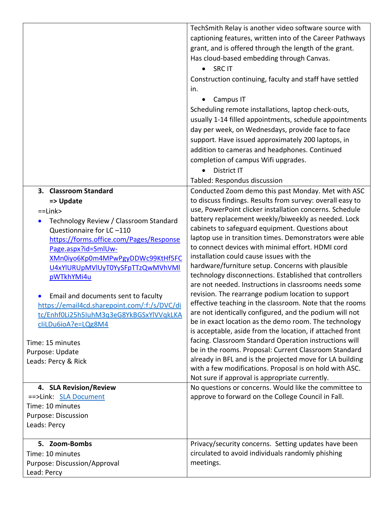|                                                     | TechSmith Relay is another video software source with                                                             |
|-----------------------------------------------------|-------------------------------------------------------------------------------------------------------------------|
|                                                     | captioning features, written into of the Career Pathways                                                          |
|                                                     | grant, and is offered through the length of the grant.                                                            |
|                                                     | Has cloud-based embedding through Canvas.                                                                         |
|                                                     | <b>SRC IT</b><br>$\bullet$                                                                                        |
|                                                     | Construction continuing, faculty and staff have settled                                                           |
|                                                     | in.                                                                                                               |
|                                                     | Campus IT                                                                                                         |
|                                                     | Scheduling remote installations, laptop check-outs,                                                               |
|                                                     | usually 1-14 filled appointments, schedule appointments                                                           |
|                                                     | day per week, on Wednesdays, provide face to face                                                                 |
|                                                     | support. Have issued approximately 200 laptops, in                                                                |
|                                                     | addition to cameras and headphones. Continued                                                                     |
|                                                     | completion of campus Wifi upgrades.                                                                               |
|                                                     | District IT                                                                                                       |
|                                                     | Tabled: Respondus discussion                                                                                      |
| 3. Classroom Standard                               | Conducted Zoom demo this past Monday. Met with ASC                                                                |
|                                                     | to discuss findings. Results from survey: overall easy to                                                         |
| => Update<br>$=$ Link $>$                           | use, PowerPoint clicker installation concerns. Schedule                                                           |
| Technology Review / Classroom Standard<br>$\bullet$ | battery replacement weekly/biweekly as needed. Lock                                                               |
| Questionnaire for LC-110                            | cabinets to safeguard equipment. Questions about                                                                  |
| https://forms.office.com/Pages/Response             | laptop use in transition times. Demonstrators were able                                                           |
| Page.aspx?id=SmlUw-                                 | to connect devices with minimal effort. HDMI cord                                                                 |
| XMn0iyo6Kp0m4MPwPgyDDWc99KtHf5FC                    | installation could cause issues with the                                                                          |
| U4xYlURUpMVlUyT0YySFpTTzQwMVhVMl                    | hardware/furniture setup. Concerns with plausible                                                                 |
| pWTkhYMi4u                                          | technology disconnections. Established that controllers                                                           |
|                                                     | are not needed. Instructions in classrooms needs some                                                             |
| Email and documents sent to faculty                 | revision. The rearrange podium location to support                                                                |
| https://email4cd.sharepoint.com/:f:/s/DVC/di        | effective teaching in the classroom. Note that the rooms                                                          |
| tc/Enhf0Li25h5IuhM3q3eG8YkBGSxYlVVqkLKA             | are not identically configured, and the podium will not                                                           |
| cliLDu6ioA?e=LQg8M4                                 | be in exact location as the demo room. The technology                                                             |
|                                                     | is acceptable, aside from the location, if attached front                                                         |
| Time: 15 minutes                                    | facing. Classroom Standard Operation instructions will                                                            |
| Purpose: Update                                     | be in the rooms. Proposal: Current Classroom Standard<br>already in BFL and is the projected move for LA building |
| Leads: Percy & Rick                                 | with a few modifications. Proposal is on hold with ASC.                                                           |
|                                                     | Not sure if approval is appropriate currently.                                                                    |
| 4. SLA Revision/Review                              | No questions or concerns. Would like the committee to                                                             |
| ==>Link: SLA Document                               | approve to forward on the College Council in Fall.                                                                |
| Time: 10 minutes                                    |                                                                                                                   |
| Purpose: Discussion                                 |                                                                                                                   |
| Leads: Percy                                        |                                                                                                                   |
|                                                     |                                                                                                                   |
| 5. Zoom-Bombs                                       | Privacy/security concerns. Setting updates have been                                                              |
| Time: 10 minutes                                    | circulated to avoid individuals randomly phishing                                                                 |
| Purpose: Discussion/Approval                        | meetings.                                                                                                         |
| Lead: Percy                                         |                                                                                                                   |